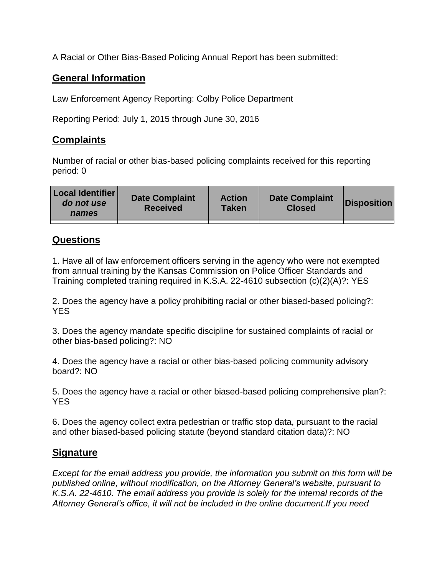A Racial or Other Bias-Based Policing Annual Report has been submitted:

## **General Information**

Law Enforcement Agency Reporting: Colby Police Department

Reporting Period: July 1, 2015 through June 30, 2016

## **Complaints**

Number of racial or other bias-based policing complaints received for this reporting period: 0

| <b>Local Identifier</b><br>do not use<br>names | <b>Date Complaint</b><br><b>Received</b> | <b>Action</b><br><b>Taken</b> | <b>Date Complaint</b><br><b>Closed</b> | Disposition |
|------------------------------------------------|------------------------------------------|-------------------------------|----------------------------------------|-------------|
|                                                |                                          |                               |                                        |             |

## **Questions**

1. Have all of law enforcement officers serving in the agency who were not exempted from annual training by the Kansas Commission on Police Officer Standards and Training completed training required in K.S.A. 22-4610 subsection (c)(2)(A)?: YES

2. Does the agency have a policy prohibiting racial or other biased-based policing?: YES

3. Does the agency mandate specific discipline for sustained complaints of racial or other bias-based policing?: NO

4. Does the agency have a racial or other bias-based policing community advisory board?: NO

5. Does the agency have a racial or other biased-based policing comprehensive plan?: YES

6. Does the agency collect extra pedestrian or traffic stop data, pursuant to the racial and other biased-based policing statute (beyond standard citation data)?: NO

## **Signature**

*Except for the email address you provide, the information you submit on this form will be published online, without modification, on the Attorney General's website, pursuant to K.S.A. 22-4610. The email address you provide is solely for the internal records of the Attorney General's office, it will not be included in the online document.If you need*